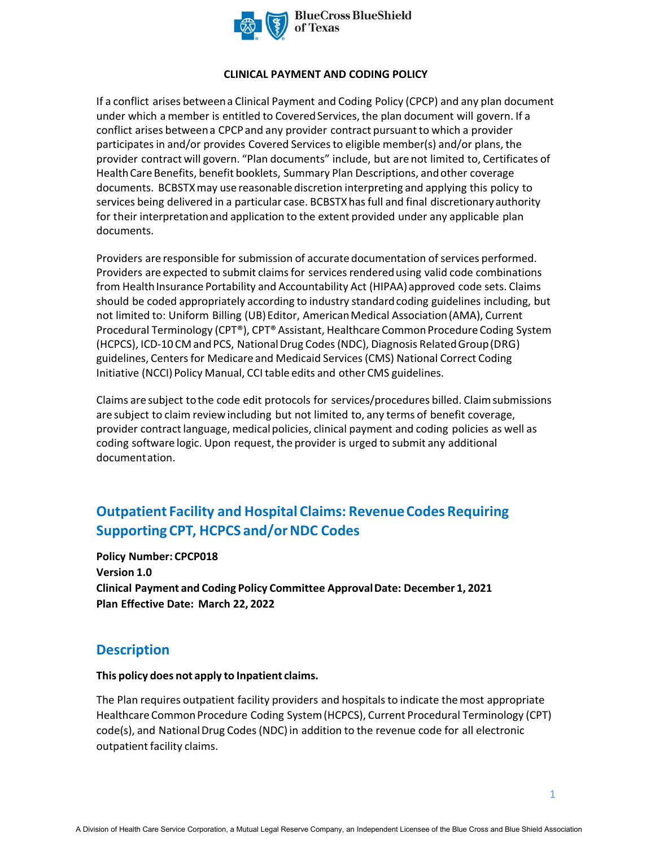

#### **CLINICAL PAYMENT AND CODING POLICY**

If a conflict arises between a Clinical Payment and Coding Policy (CPCP) and any plan document under which a member is entitled to Covered Services, the plan document will govern. If a conflict arises between a CPCP and any provider contract pursuant to which a provider participates in and/or provides Covered Services to eligible member(s) and/or plans, the provider contract will govern. "Plan documents" include, but are not limited to, Certificates of Health Care Benefits, benefit booklets, Summary Plan Descriptions, and other coverage documents. BCBSTXmay use reasonable discretion interpreting and applying this policy to services being delivered in a particular case. BCBSTXhas full and final discretionary authority for their interpretation and application to the extent provided under any applicable plan documents.

Providers are responsible for submission of accurate documentation of services performed. Providers are expected to submit claims for services rendered using valid code combinations from Health Insurance Portability and Accountability Act (HIPAA) approved code sets. Claims should be coded appropriately according to industry standard coding guidelines including, but not limited to: Uniform Billing (UB) Editor, American Medical Association (AMA), Current Procedural Terminology (CPT®), CPT® Assistant, Healthcare Common Procedure Coding System (HCPCS), ICD-10 CM and PCS, National Drug Codes (NDC), Diagnosis Related Group (DRG) guidelines, Centers for Medicare and Medicaid Services (CMS) National Correct Coding Initiative (NCCI) Policy Manual, CCI table edits and other CMS guidelines.

Claims are subject to the code edit protocols for services/procedures billed. Claim submissions are subject to claim review including but not limited to, any terms of benefit coverage, provider contract language, medical policies, clinical payment and coding policies as well as coding software logic. Upon request, the provider is urged to submit any additional documentation.

# **Outpatient Facility and Hospital Claims: Revenue Codes Requiring Supporting CPT, HCPCS and/or NDC Codes**

**Policy Number: CPCP018 Version 1.0 Clinical Payment and Coding Policy Committee Approval Date: December 1, 2021 Plan Effective Date: March 22, 2022**

## **Description**

#### **This policy does not apply to Inpatient claims.**

The Plan requires outpatient facility providers and hospitals to indicate the most appropriate Healthcare Common Procedure Coding System (HCPCS), Current Procedural Terminology (CPT) code(s), and National Drug Codes (NDC) in addition to the revenue code for all electronic outpatient facility claims.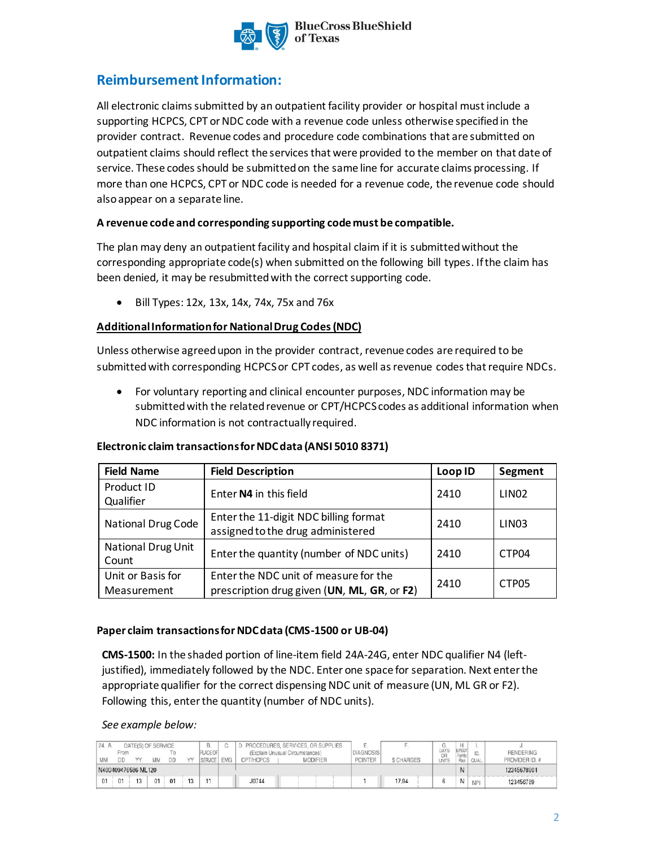

# **Reimbursement Information:**

All electronic claims submitted by an outpatient facility provider or hospital must include a supporting HCPCS, CPT or NDC code with a revenue code unless otherwise specified in the provider contract. Revenue codes and procedure code combinations that are submitted on outpatient claims should reflect the services that were provided to the member on that date of service. These codes should be submitted on the same line for accurate claims processing. If more than one HCPCS, CPT or NDC code is needed for a revenue code, the revenue code should also appear on a separate line.

## **A revenue code and corresponding supporting code must be compatible.**

The plan may deny an outpatient facility and hospital claim if it is submittedwithout the corresponding appropriate code(s) when submitted on the following bill types. If the claim has been denied, it may be resubmitted with the correct supporting code.

• Bill Types: 12x, 13x, 14x, 74x, 75x and 76x

## **Additional Information for National Drug Codes (NDC)**

Unless otherwise agreed upon in the provider contract, revenue codes are required to be submitted with corresponding HCPCS or CPT codes, as well as revenue codesthat require NDCs.

• For voluntary reporting and clinical encounter purposes, NDC information may be submitted with the related revenue or CPT/HCPCS codes as additional information when NDC information is not contractually required.

| <b>Field Name</b>         | <b>Field Description</b>                    | Loop ID | Segment           |  |
|---------------------------|---------------------------------------------|---------|-------------------|--|
| Product ID                | Enter N4 in this field                      | 2410    | LIN <sub>02</sub> |  |
| Qualifier                 |                                             |         |                   |  |
| National Drug Code        | Enter the 11-digit NDC billing format       | 2410    | LIN <sub>03</sub> |  |
|                           | assigned to the drug administered           |         |                   |  |
| <b>National Drug Unit</b> | Enter the quantity (number of NDC units)    | 2410    | CTP04             |  |
| Count                     |                                             |         |                   |  |
| Unit or Basis for         | Enter the NDC unit of measure for the       | 2410    |                   |  |
| Measurement               | prescription drug given (UN, ML, GR, or F2) |         | CTP05             |  |

### **Electronic claim transactions for NDC data (ANSI 5010 8371)**

### **Paper claim transactions for NDC data (CMS-1500 or UB-04)**

**CMS-1500:** In the shaded portion of line-item field 24A-24G, enter NDC qualifier N4 (leftjustified), immediately followed by the NDC. Enter one space for separation. Next enter the appropriate qualifier for the correct dispensing NDC unit of measure (UN, ML GR or F2). Following this, enter the quantity (number of NDC units).

#### *See example below:*

| 24. A |            | DATE(S) OF SERVICE  |    |                |   | B.                         | C.         |           | PROCEDURES, SERVICES, OR SUPPLIES                  | Е                                  |            |                     |                       |             |                                    |
|-------|------------|---------------------|----|----------------|---|----------------------------|------------|-----------|----------------------------------------------------|------------------------------------|------------|---------------------|-----------------------|-------------|------------------------------------|
| MM    | From<br>DD | vv                  | MM | DD             | w | PLACE OF<br><b>SERVICE</b> | <b>EMG</b> | CPT/HCPCS | (Explain Unusual Circumstances)<br><b>MODIFIER</b> | <b>DIAGNOSIS</b><br><b>POINTER</b> | \$ CHARGES | DAYS<br>OR<br>UNITS | EPSDT<br>Fami<br>Plan | <b>QUAL</b> | <b>RENDERING</b><br>PROVIDER ID. # |
|       |            | N400409476586 ML120 |    |                |   |                            |            |           |                                                    |                                    |            |                     |                       |             | 12345678901                        |
| 01    | 01         | 13                  | 01 | 0 <sub>1</sub> |   |                            |            | J0744     |                                                    |                                    | 17.94      |                     | N                     | <b>NPI</b>  | 123456789                          |